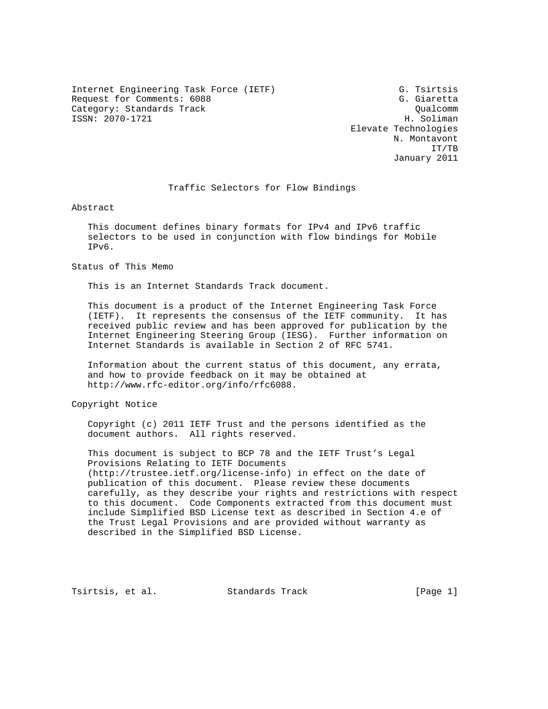Internet Engineering Task Force (IETF) G. Tsirtsis Request for Comments: 6088 G. Giaretta Category: Standards Track Qualcomm (Qualcomm Qualcomm (Qualcomm )<br>ISSN: 2070-1721 H. Soliman  $ISSN: 2070-1721$ 

 Elevate Technologies N. Montavont IT/TB January 2011

# Traffic Selectors for Flow Bindings

Abstract

 This document defines binary formats for IPv4 and IPv6 traffic selectors to be used in conjunction with flow bindings for Mobile IPv6.

Status of This Memo

This is an Internet Standards Track document.

 This document is a product of the Internet Engineering Task Force (IETF). It represents the consensus of the IETF community. It has received public review and has been approved for publication by the Internet Engineering Steering Group (IESG). Further information on Internet Standards is available in Section 2 of RFC 5741.

 Information about the current status of this document, any errata, and how to provide feedback on it may be obtained at http://www.rfc-editor.org/info/rfc6088.

Copyright Notice

 Copyright (c) 2011 IETF Trust and the persons identified as the document authors. All rights reserved.

 This document is subject to BCP 78 and the IETF Trust's Legal Provisions Relating to IETF Documents (http://trustee.ietf.org/license-info) in effect on the date of publication of this document. Please review these documents carefully, as they describe your rights and restrictions with respect to this document. Code Components extracted from this document must include Simplified BSD License text as described in Section 4.e of the Trust Legal Provisions and are provided without warranty as described in the Simplified BSD License.

Tsirtsis, et al. Standards Track [Page 1]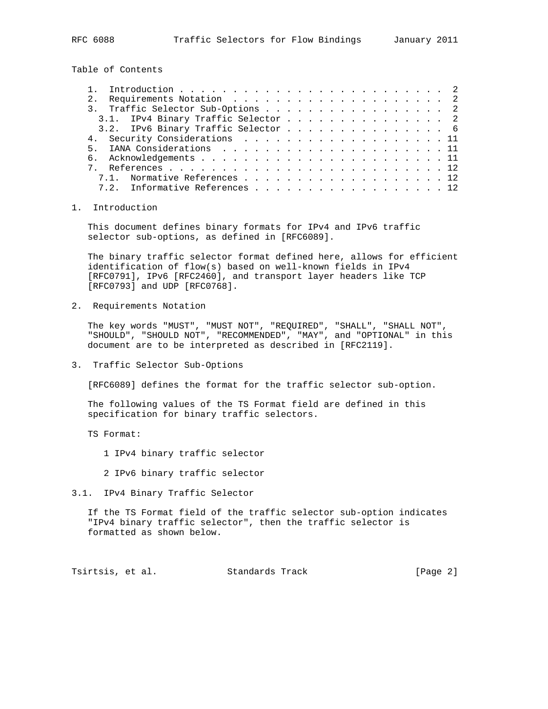Table of Contents

|  | 3. Traffic Selector Sub-Options 2   |  |  |  |  |  |  |  |
|--|-------------------------------------|--|--|--|--|--|--|--|
|  | 3.1. IPv4 Binary Traffic Selector 2 |  |  |  |  |  |  |  |
|  | 3.2. IPv6 Binary Traffic Selector 6 |  |  |  |  |  |  |  |
|  | 4. Security Considerations 11       |  |  |  |  |  |  |  |
|  |                                     |  |  |  |  |  |  |  |
|  |                                     |  |  |  |  |  |  |  |
|  |                                     |  |  |  |  |  |  |  |
|  | 7.1. Normative References 12        |  |  |  |  |  |  |  |
|  | 7.2. Informative References 12      |  |  |  |  |  |  |  |
|  |                                     |  |  |  |  |  |  |  |

## 1. Introduction

 This document defines binary formats for IPv4 and IPv6 traffic selector sub-options, as defined in [RFC6089].

 The binary traffic selector format defined here, allows for efficient identification of flow(s) based on well-known fields in IPv4 [RFC0791], IPv6 [RFC2460], and transport layer headers like TCP [RFC0793] and UDP [RFC0768].

2. Requirements Notation

 The key words "MUST", "MUST NOT", "REQUIRED", "SHALL", "SHALL NOT", "SHOULD", "SHOULD NOT", "RECOMMENDED", "MAY", and "OPTIONAL" in this document are to be interpreted as described in [RFC2119].

3. Traffic Selector Sub-Options

[RFC6089] defines the format for the traffic selector sub-option.

 The following values of the TS Format field are defined in this specification for binary traffic selectors.

TS Format:

1 IPv4 binary traffic selector

- 2 IPv6 binary traffic selector
- 3.1. IPv4 Binary Traffic Selector

 If the TS Format field of the traffic selector sub-option indicates "IPv4 binary traffic selector", then the traffic selector is formatted as shown below.

Tsirtsis, et al. Standards Track [Page 2]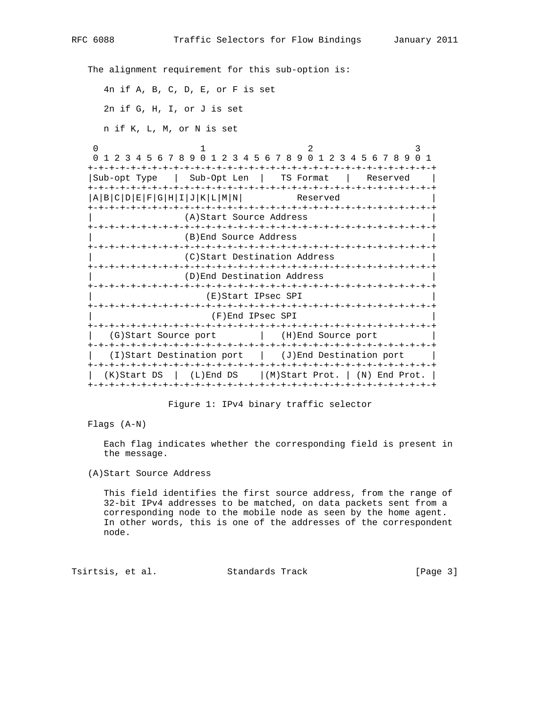The alignment requirement for this sub-option is: 4n if A, B, C, D, E, or F is set 2n if G, H, I, or J is set n if K, L, M, or N is set 0  $1$  2 3 0 1 2 3 4 5 6 7 8 9 0 1 2 3 4 5 6 7 8 9 0 1 2 3 4 5 6 7 8 9 0 1 +-+-+-+-+-+-+-+-+-+-+-+-+-+-+-+-+-+-+-+-+-+-+-+-+-+-+-+-+-+-+-+-+ |Sub-opt Type | Sub-Opt Len | TS Format | Reserved | +-+-+-+-+-+-+-+-+-+-+-+-+-+-+-+-+-+-+-+-+-+-+-+-+-+-+-+-+-+-+-+-+  $|A|B|C|D|E|F|G|H|I|J|K|L|M|N|$  Reserved +-+-+-+-+-+-+-+-+-+-+-+-+-+-+-+-+-+-+-+-+-+-+-+-+-+-+-+-+-+-+-+-+ (A)Start Source Address +-+-+-+-+-+-+-+-+-+-+-+-+-+-+-+-+-+-+-+-+-+-+-+-+-+-+-+-+-+-+-+-+ | (B)End Source Address | +-+-+-+-+-+-+-+-+-+-+-+-+-+-+-+-+-+-+-+-+-+-+-+-+-+-+-+-+-+-+-+-+ (C)Start Destination Address +-+-+-+-+-+-+-+-+-+-+-+-+-+-+-+-+-+-+-+-+-+-+-+-+-+-+-+-+-+-+-+-+ | (D)End Destination Address | +-+-+-+-+-+-+-+-+-+-+-+-+-+-+-+-+-+-+-+-+-+-+-+-+-+-+-+-+-+-+-+-+ | (E)Start IPsec SPI | +-+-+-+-+-+-+-+-+-+-+-+-+-+-+-+-+-+-+-+-+-+-+-+-+-+-+-+-+-+-+-+-+ | (F)End IPsec SPI | +-+-+-+-+-+-+-+-+-+-+-+-+-+-+-+-+-+-+-+-+-+-+-+-+-+-+-+-+-+-+-+-+ | (G)Start Source port | (H)End Source port | +-+-+-+-+-+-+-+-+-+-+-+-+-+-+-+-+-+-+-+-+-+-+-+-+-+-+-+-+-+-+-+-+ | (I)Start Destination port | (J)End Destination port | +-+-+-+-+-+-+-+-+-+-+-+-+-+-+-+-+-+-+-+-+-+-+-+-+-+-+-+-+-+-+-+-+  $(K)$ Start DS | (L)End DS |(M)Start Prot. | (N) End Prot. | +-+-+-+-+-+-+-+-+-+-+-+-+-+-+-+-+-+-+-+-+-+-+-+-+-+-+-+-+-+-+-+-+

Figure 1: IPv4 binary traffic selector

Flags (A-N)

 Each flag indicates whether the corresponding field is present in the message.

(A)Start Source Address

 This field identifies the first source address, from the range of 32-bit IPv4 addresses to be matched, on data packets sent from a corresponding node to the mobile node as seen by the home agent. In other words, this is one of the addresses of the correspondent node.

Tsirtsis, et al. Standards Track [Page 3]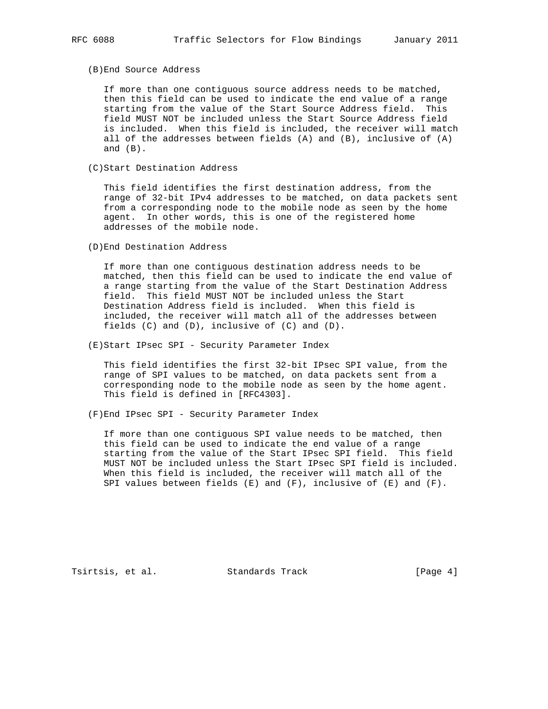#### (B)End Source Address

 If more than one contiguous source address needs to be matched, then this field can be used to indicate the end value of a range starting from the value of the Start Source Address field. This field MUST NOT be included unless the Start Source Address field is included. When this field is included, the receiver will match all of the addresses between fields (A) and (B), inclusive of (A) and  $(B)$ .

(C)Start Destination Address

 This field identifies the first destination address, from the range of 32-bit IPv4 addresses to be matched, on data packets sent from a corresponding node to the mobile node as seen by the home agent. In other words, this is one of the registered home addresses of the mobile node.

(D)End Destination Address

 If more than one contiguous destination address needs to be matched, then this field can be used to indicate the end value of a range starting from the value of the Start Destination Address field. This field MUST NOT be included unless the Start Destination Address field is included. When this field is included, the receiver will match all of the addresses between fields (C) and (D), inclusive of (C) and (D).

(E)Start IPsec SPI - Security Parameter Index

 This field identifies the first 32-bit IPsec SPI value, from the range of SPI values to be matched, on data packets sent from a corresponding node to the mobile node as seen by the home agent. This field is defined in [RFC4303].

(F)End IPsec SPI - Security Parameter Index

 If more than one contiguous SPI value needs to be matched, then this field can be used to indicate the end value of a range starting from the value of the Start IPsec SPI field. This field MUST NOT be included unless the Start IPsec SPI field is included. When this field is included, the receiver will match all of the SPI values between fields  $(E)$  and  $(F)$ , inclusive of  $(E)$  and  $(F)$ .

Tsirtsis, et al. Standards Track [Page 4]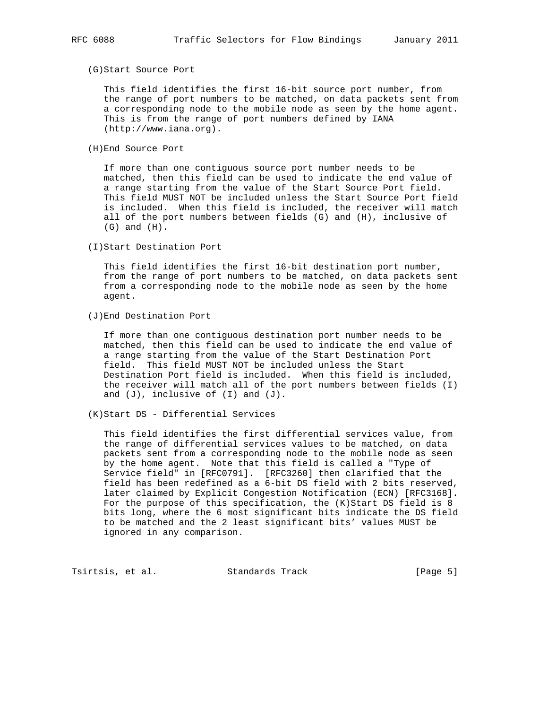### (G)Start Source Port

 This field identifies the first 16-bit source port number, from the range of port numbers to be matched, on data packets sent from a corresponding node to the mobile node as seen by the home agent. This is from the range of port numbers defined by IANA (http://www.iana.org).

(H)End Source Port

 If more than one contiguous source port number needs to be matched, then this field can be used to indicate the end value of a range starting from the value of the Start Source Port field. This field MUST NOT be included unless the Start Source Port field is included. When this field is included, the receiver will match all of the port numbers between fields (G) and (H), inclusive of (G) and (H).

(I)Start Destination Port

 This field identifies the first 16-bit destination port number, from the range of port numbers to be matched, on data packets sent from a corresponding node to the mobile node as seen by the home agent.

(J)End Destination Port

 If more than one contiguous destination port number needs to be matched, then this field can be used to indicate the end value of a range starting from the value of the Start Destination Port field. This field MUST NOT be included unless the Start Destination Port field is included. When this field is included, the receiver will match all of the port numbers between fields (I) and  $(J)$ , inclusive of  $(I)$  and  $(J)$ .

(K)Start DS - Differential Services

 This field identifies the first differential services value, from the range of differential services values to be matched, on data packets sent from a corresponding node to the mobile node as seen by the home agent. Note that this field is called a "Type of Service field" in [RFC0791]. [RFC3260] then clarified that the field has been redefined as a 6-bit DS field with 2 bits reserved, later claimed by Explicit Congestion Notification (ECN) [RFC3168]. For the purpose of this specification, the (K)Start DS field is 8 bits long, where the 6 most significant bits indicate the DS field to be matched and the 2 least significant bits' values MUST be ignored in any comparison.

Tsirtsis, et al. Standards Track [Page 5]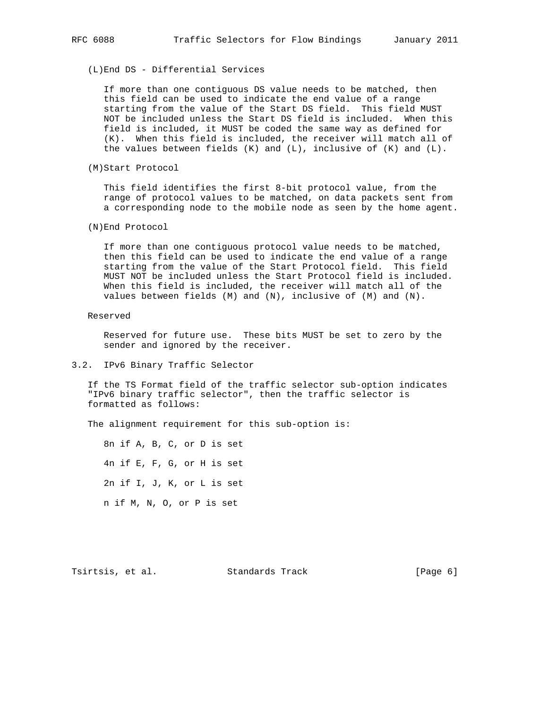(L)End DS - Differential Services

 If more than one contiguous DS value needs to be matched, then this field can be used to indicate the end value of a range starting from the value of the Start DS field. This field MUST NOT be included unless the Start DS field is included. When this field is included, it MUST be coded the same way as defined for (K). When this field is included, the receiver will match all of the values between fields  $(K)$  and  $(L)$ , inclusive of  $(K)$  and  $(L)$ .

(M)Start Protocol

 This field identifies the first 8-bit protocol value, from the range of protocol values to be matched, on data packets sent from a corresponding node to the mobile node as seen by the home agent.

(N)End Protocol

 If more than one contiguous protocol value needs to be matched, then this field can be used to indicate the end value of a range starting from the value of the Start Protocol field. This field MUST NOT be included unless the Start Protocol field is included. When this field is included, the receiver will match all of the values between fields (M) and (N), inclusive of (M) and (N).

Reserved

 Reserved for future use. These bits MUST be set to zero by the sender and ignored by the receiver.

3.2. IPv6 Binary Traffic Selector

 If the TS Format field of the traffic selector sub-option indicates "IPv6 binary traffic selector", then the traffic selector is formatted as follows:

The alignment requirement for this sub-option is:

 8n if A, B, C, or D is set 4n if E, F, G, or H is set 2n if I, J, K, or L is set n if M, N, O, or P is set

Tsirtsis, et al. Standards Track [Page 6]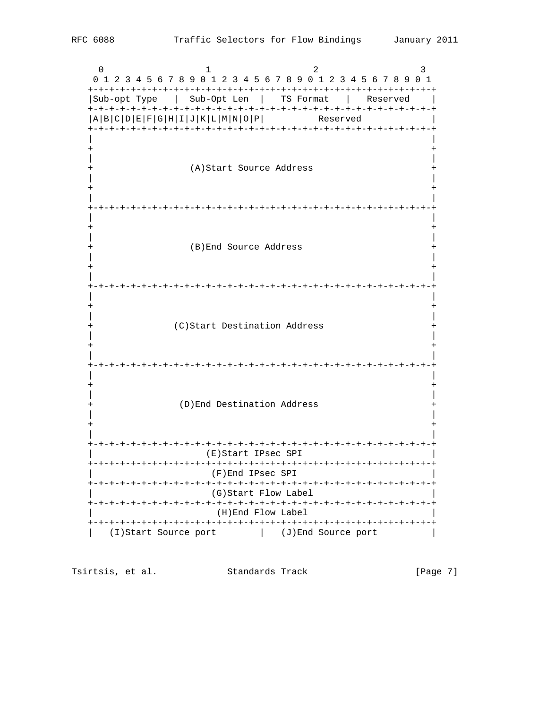$\Omega$  $\mathbf{1}$  $\mathfrak{D}$  $\mathcal{E}$ 0 1 2 3 4 5 6 7 8 9 0 1 2 3 4 5 6 7 8 9 0 1 2 3 4 5 6 7 8 9 0 1 |Sub-opt Type | Sub-Opt Len | TS Format | Reserved  $\blacksquare$  $|A|B|C|D|E|F|G|H|I|J|K|L|M|N|O|P|$ Reserved (A) Start Source Address  $^{+}$ (B) End Source Address  $^{+}$ (C)Start Destination Address  $+$ (D) End Destination Address (E)Start IPsec SPI (F)End IPsec SPI (G)Start Flow Label (H)End Flow Label (I)Start Source port (J)End Source port

Tsirtsis, et al. Standards Track [Page 7]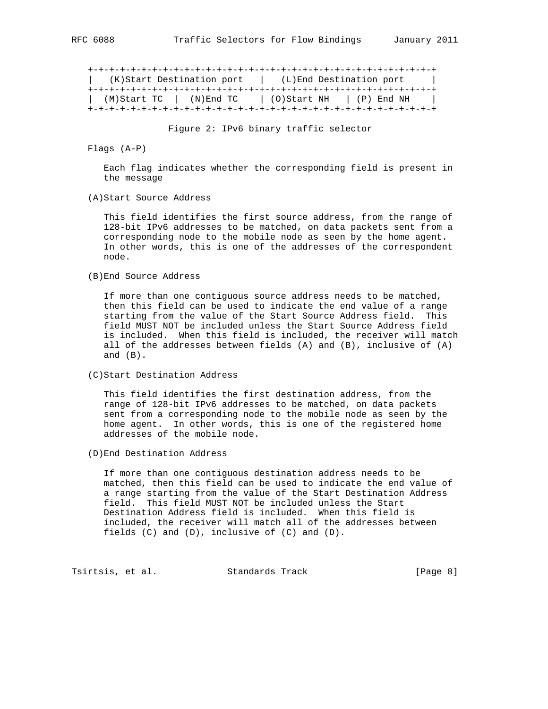+-+-+-+-+-+-+-+-+-+-+-+-+-+-+-+-+-+-+-+-+-+-+-+-+-+-+-+-+-+-+-+-+ | (K)Start Destination port | (L)End Destination port | +-+-+-+-+-+-+-+-+-+-+-+-+-+-+-+-+-+-+-+-+-+-+-+-+-+-+-+-+-+-+-+-+ | (M)Start TC | (N)End TC | (O)Start NH | (P) End NH | +-+-+-+-+-+-+-+-+-+-+-+-+-+-+-+-+-+-+-+-+-+-+-+-+-+-+-+-+-+-+-+-+

Figure 2: IPv6 binary traffic selector

Flags (A-P)

 Each flag indicates whether the corresponding field is present in the message

(A)Start Source Address

 This field identifies the first source address, from the range of 128-bit IPv6 addresses to be matched, on data packets sent from a corresponding node to the mobile node as seen by the home agent. In other words, this is one of the addresses of the correspondent node.

(B)End Source Address

 If more than one contiguous source address needs to be matched, then this field can be used to indicate the end value of a range starting from the value of the Start Source Address field. This field MUST NOT be included unless the Start Source Address field is included. When this field is included, the receiver will match all of the addresses between fields (A) and (B), inclusive of (A) and (B).

(C)Start Destination Address

 This field identifies the first destination address, from the range of 128-bit IPv6 addresses to be matched, on data packets sent from a corresponding node to the mobile node as seen by the home agent. In other words, this is one of the registered home addresses of the mobile node.

(D)End Destination Address

 If more than one contiguous destination address needs to be matched, then this field can be used to indicate the end value of a range starting from the value of the Start Destination Address field. This field MUST NOT be included unless the Start Destination Address field is included. When this field is included, the receiver will match all of the addresses between fields (C) and (D), inclusive of (C) and (D).

Tsirtsis, et al. Standards Track [Page 8]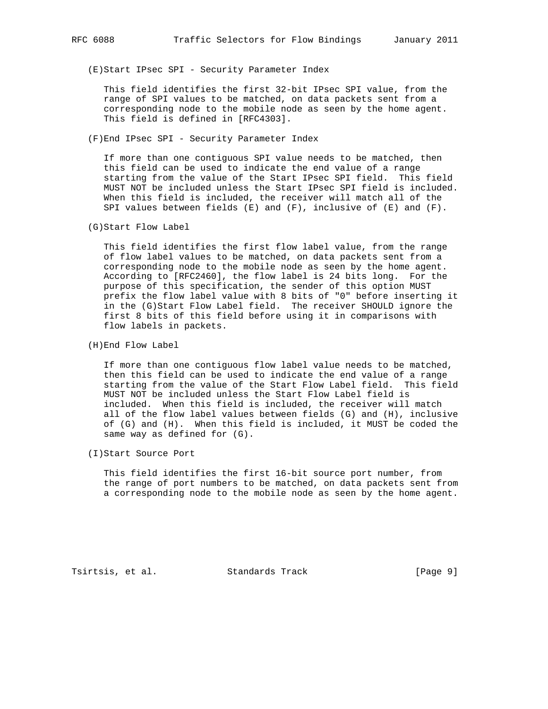(E)Start IPsec SPI - Security Parameter Index

 This field identifies the first 32-bit IPsec SPI value, from the range of SPI values to be matched, on data packets sent from a corresponding node to the mobile node as seen by the home agent. This field is defined in [RFC4303].

(F)End IPsec SPI - Security Parameter Index

 If more than one contiguous SPI value needs to be matched, then this field can be used to indicate the end value of a range starting from the value of the Start IPsec SPI field. This field MUST NOT be included unless the Start IPsec SPI field is included. When this field is included, the receiver will match all of the SPI values between fields  $(E)$  and  $(F)$ , inclusive of  $(E)$  and  $(F)$ .

(G)Start Flow Label

 This field identifies the first flow label value, from the range of flow label values to be matched, on data packets sent from a corresponding node to the mobile node as seen by the home agent. According to [RFC2460], the flow label is 24 bits long. For the purpose of this specification, the sender of this option MUST prefix the flow label value with 8 bits of "0" before inserting it in the (G)Start Flow Label field. The receiver SHOULD ignore the first 8 bits of this field before using it in comparisons with flow labels in packets.

(H)End Flow Label

 If more than one contiguous flow label value needs to be matched, then this field can be used to indicate the end value of a range starting from the value of the Start Flow Label field. This field MUST NOT be included unless the Start Flow Label field is included. When this field is included, the receiver will match all of the flow label values between fields (G) and (H), inclusive of (G) and (H). When this field is included, it MUST be coded the same way as defined for (G).

(I)Start Source Port

 This field identifies the first 16-bit source port number, from the range of port numbers to be matched, on data packets sent from a corresponding node to the mobile node as seen by the home agent.

Tsirtsis, et al. Standards Track [Page 9]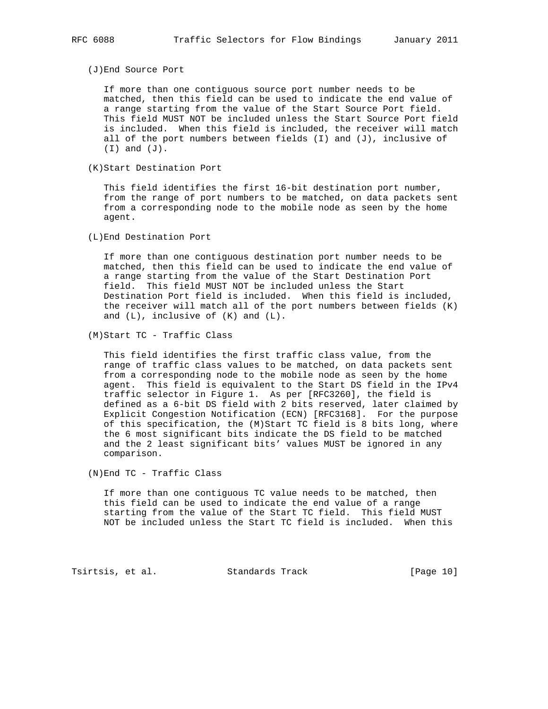(J)End Source Port

 If more than one contiguous source port number needs to be matched, then this field can be used to indicate the end value of a range starting from the value of the Start Source Port field. This field MUST NOT be included unless the Start Source Port field is included. When this field is included, the receiver will match all of the port numbers between fields  $(I)$  and  $(J)$ , inclusive of (I) and (J).

(K)Start Destination Port

 This field identifies the first 16-bit destination port number, from the range of port numbers to be matched, on data packets sent from a corresponding node to the mobile node as seen by the home agent.

(L)End Destination Port

 If more than one contiguous destination port number needs to be matched, then this field can be used to indicate the end value of a range starting from the value of the Start Destination Port field. This field MUST NOT be included unless the Start Destination Port field is included. When this field is included, the receiver will match all of the port numbers between fields (K) and  $(L)$ , inclusive of  $(K)$  and  $(L)$ .

(M)Start TC - Traffic Class

 This field identifies the first traffic class value, from the range of traffic class values to be matched, on data packets sent from a corresponding node to the mobile node as seen by the home agent. This field is equivalent to the Start DS field in the IPv4 traffic selector in Figure 1. As per [RFC3260], the field is defined as a 6-bit DS field with 2 bits reserved, later claimed by Explicit Congestion Notification (ECN) [RFC3168]. For the purpose of this specification, the (M)Start TC field is 8 bits long, where the 6 most significant bits indicate the DS field to be matched and the 2 least significant bits' values MUST be ignored in any comparison.

(N)End TC - Traffic Class

 If more than one contiguous TC value needs to be matched, then this field can be used to indicate the end value of a range starting from the value of the Start TC field. This field MUST NOT be included unless the Start TC field is included. When this

Tsirtsis, et al. Standards Track [Page 10]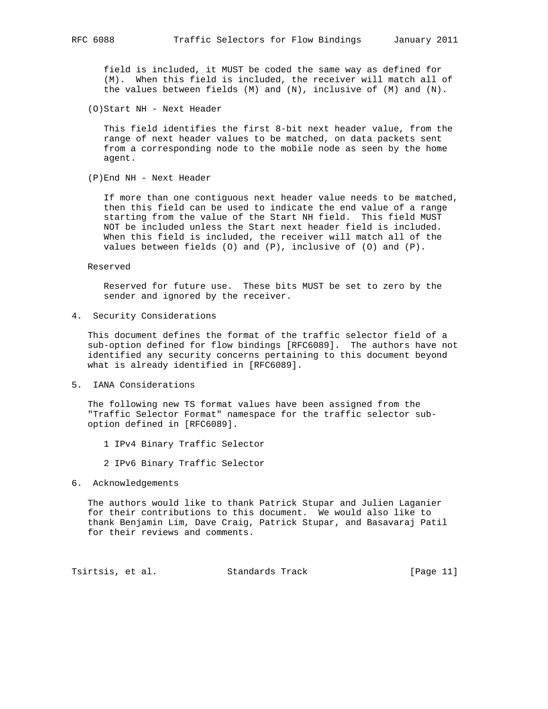field is included, it MUST be coded the same way as defined for (M). When this field is included, the receiver will match all of the values between fields (M) and (N), inclusive of (M) and (N).

(O)Start NH - Next Header

 This field identifies the first 8-bit next header value, from the range of next header values to be matched, on data packets sent from a corresponding node to the mobile node as seen by the home agent.

(P)End NH - Next Header

 If more than one contiguous next header value needs to be matched, then this field can be used to indicate the end value of a range starting from the value of the Start NH field. This field MUST NOT be included unless the Start next header field is included. When this field is included, the receiver will match all of the values between fields (O) and (P), inclusive of (O) and (P).

#### Reserved

 Reserved for future use. These bits MUST be set to zero by the sender and ignored by the receiver.

4. Security Considerations

 This document defines the format of the traffic selector field of a sub-option defined for flow bindings [RFC6089]. The authors have not identified any security concerns pertaining to this document beyond what is already identified in [RFC6089].

5. IANA Considerations

 The following new TS format values have been assigned from the "Traffic Selector Format" namespace for the traffic selector sub option defined in [RFC6089].

- 1 IPv4 Binary Traffic Selector
- 2 IPv6 Binary Traffic Selector
- 6. Acknowledgements

 The authors would like to thank Patrick Stupar and Julien Laganier for their contributions to this document. We would also like to thank Benjamin Lim, Dave Craig, Patrick Stupar, and Basavaraj Patil for their reviews and comments.

Tsirtsis, et al. Standards Track [Page 11]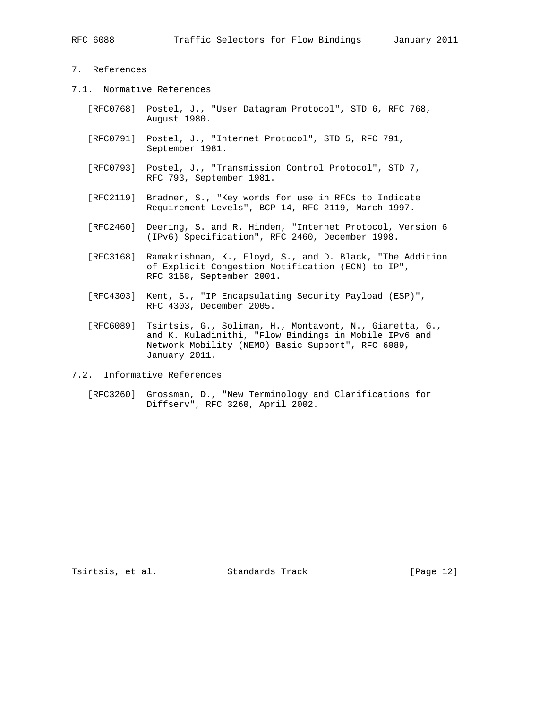# 7. References

- 7.1. Normative References
	- [RFC0768] Postel, J., "User Datagram Protocol", STD 6, RFC 768, August 1980.
	- [RFC0791] Postel, J., "Internet Protocol", STD 5, RFC 791, September 1981.
	- [RFC0793] Postel, J., "Transmission Control Protocol", STD 7, RFC 793, September 1981.
	- [RFC2119] Bradner, S., "Key words for use in RFCs to Indicate Requirement Levels", BCP 14, RFC 2119, March 1997.
	- [RFC2460] Deering, S. and R. Hinden, "Internet Protocol, Version 6 (IPv6) Specification", RFC 2460, December 1998.
	- [RFC3168] Ramakrishnan, K., Floyd, S., and D. Black, "The Addition of Explicit Congestion Notification (ECN) to IP", RFC 3168, September 2001.
	- [RFC4303] Kent, S., "IP Encapsulating Security Payload (ESP)", RFC 4303, December 2005.
	- [RFC6089] Tsirtsis, G., Soliman, H., Montavont, N., Giaretta, G., and K. Kuladinithi, "Flow Bindings in Mobile IPv6 and Network Mobility (NEMO) Basic Support", RFC 6089, January 2011.

7.2. Informative References

 [RFC3260] Grossman, D., "New Terminology and Clarifications for Diffserv", RFC 3260, April 2002.

Tsirtsis, et al. Standards Track [Page 12]